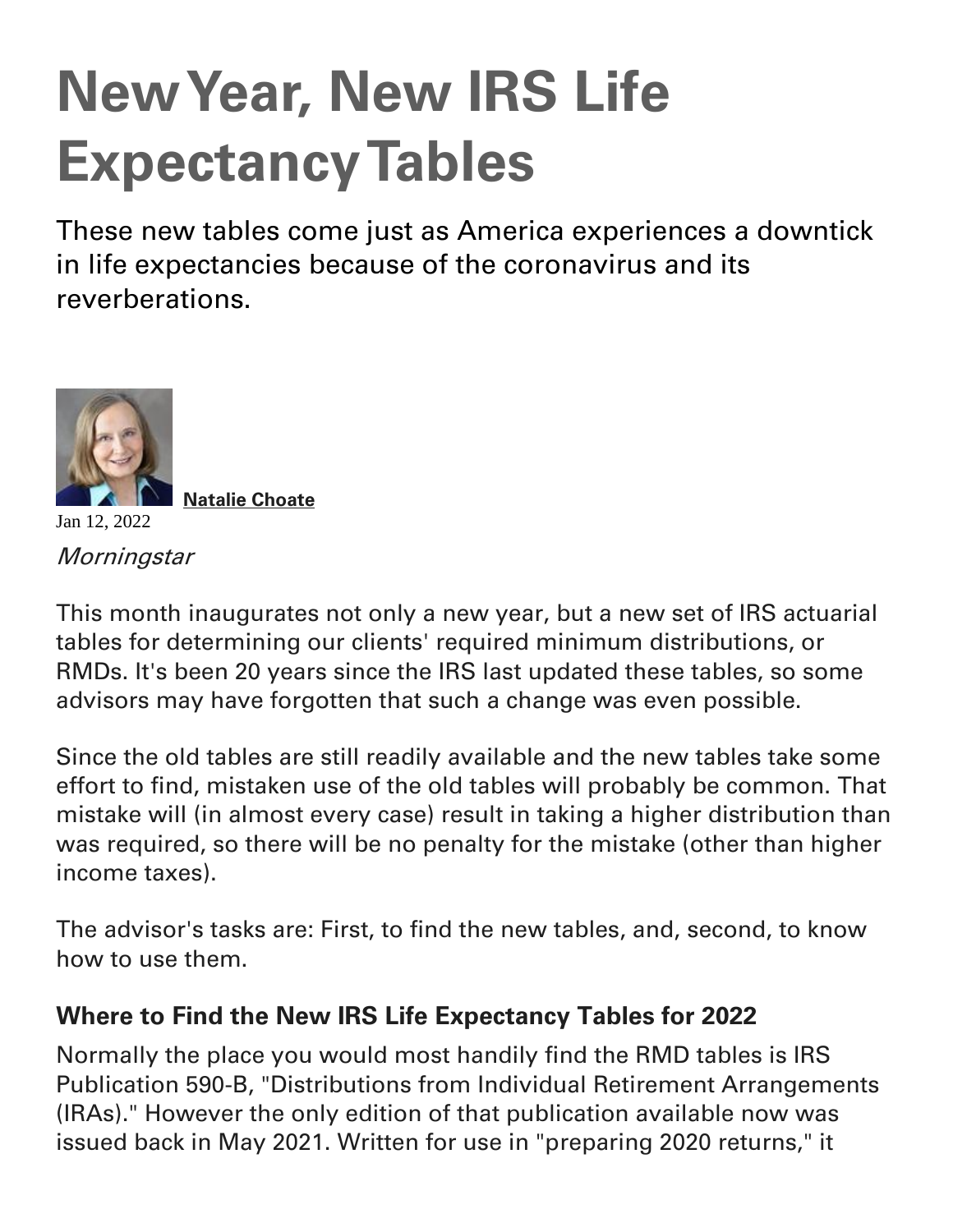## **New Year, New IRS Life Expectancy Tables**

These new tables come just as America experiences a downtick in life expectancies because of the coronavirus and its reverberations.



 **[Natalie Choate](https://www.morningstar.com/authors/1909/natalie-choate)**

**Morningstar** 

This month inaugurates not only a new year, but a new set of IRS actuarial tables for determining our clients' required minimum distributions, or RMDs. It's been 20 years since the IRS last updated these tables, so some advisors may have forgotten that such a change was even possible.

Since the old tables are still readily available and the new tables take some effort to find, mistaken use of the old tables will probably be common. That mistake will (in almost every case) result in taking a higher distribution than was required, so there will be no penalty for the mistake (other than higher income taxes).

The advisor's tasks are: First, to find the new tables, and, second, to know how to use them.

## **Where to Find the New IRS Life Expectancy Tables for 2022**

Normally the place you would most handily find the RMD tables is IRS Publication 590-B, "Distributions from Individual Retirement Arrangements (IRAs)." However the only edition of that publication available now was issued back in May 2021. Written for use in "preparing 2020 returns," it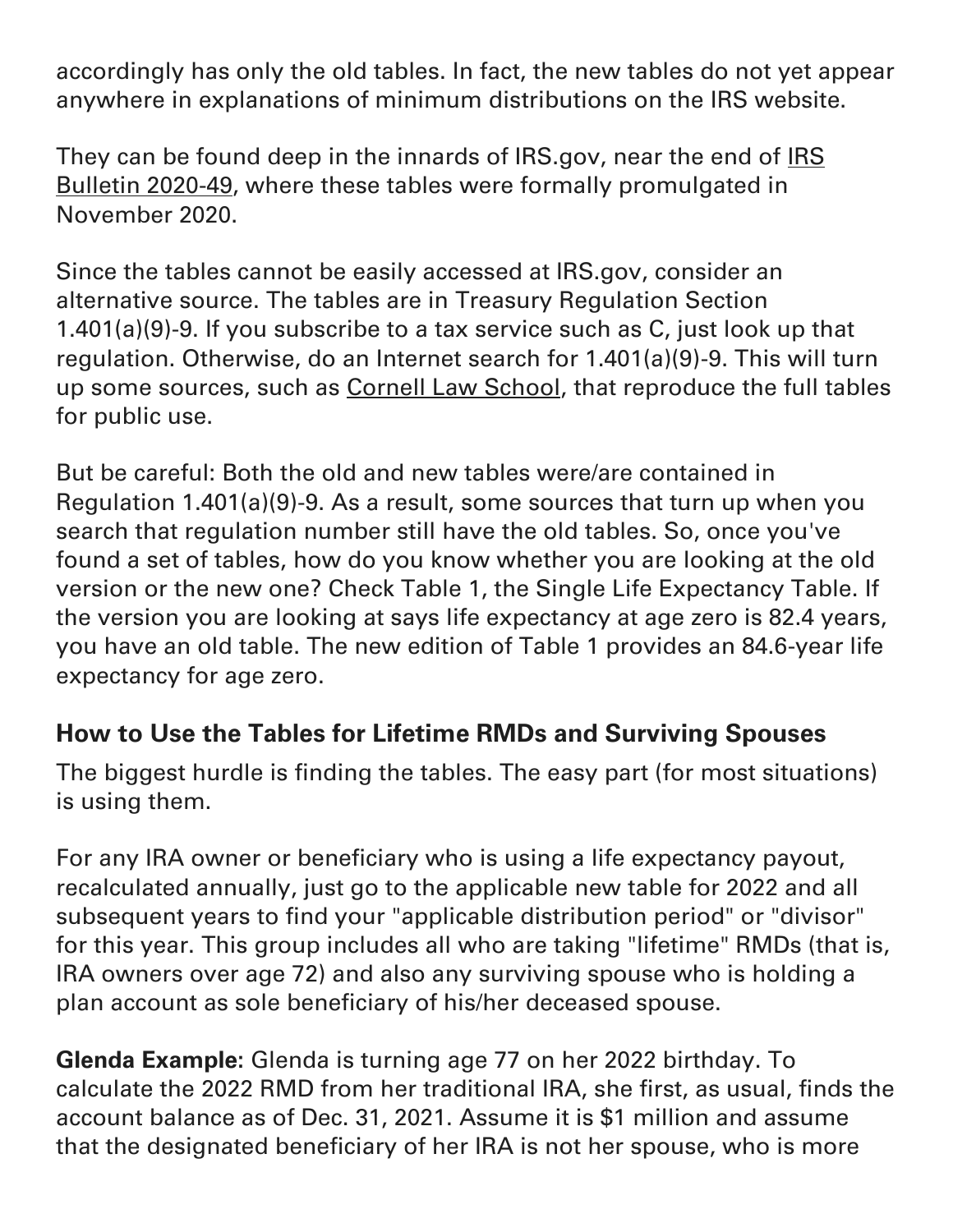accordingly has only the old tables. In fact, the new tables do not yet appear anywhere in explanations of minimum distributions on the IRS website.

They can be found deep in the innards of IRS.gov, near the end of [IRS](https://www.irs.gov/irb/2020-49_IRB#TD-9930)  [Bulletin 2020-49,](https://www.irs.gov/irb/2020-49_IRB#TD-9930) where these tables were formally promulgated in November 2020.

Since the tables cannot be easily accessed at IRS.gov, consider an alternative source. The tables are in Treasury Regulation Section 1.401(a)(9)-9. If you subscribe to a tax service such as C, just look up that regulation. Otherwise, do an Internet search for 1.401(a)(9)-9. This will turn up some sources, such as [Cornell Law School,](https://www.law.cornell.edu/) that reproduce the full tables for public use.

But be careful: Both the old and new tables were/are contained in Regulation 1.401(a)(9)-9. As a result, some sources that turn up when you search that regulation number still have the old tables. So, once you've found a set of tables, how do you know whether you are looking at the old version or the new one? Check Table 1, the Single Life Expectancy Table. If the version you are looking at says life expectancy at age zero is 82.4 years, you have an old table. The new edition of Table 1 provides an 84.6-year life expectancy for age zero.

## **How to Use the Tables for Lifetime RMDs and Surviving Spouses**

The biggest hurdle is finding the tables. The easy part (for most situations) is using them.

For any IRA owner or beneficiary who is using a life expectancy payout, recalculated annually, just go to the applicable new table for 2022 and all subsequent years to find your "applicable distribution period" or "divisor" for this year. This group includes all who are taking "lifetime" RMDs (that is, IRA owners over age 72) and also any surviving spouse who is holding a plan account as sole beneficiary of his/her deceased spouse.

**Glenda Example:** Glenda is turning age 77 on her 2022 birthday. To calculate the 2022 RMD from her traditional IRA, she first, as usual, finds the account balance as of Dec. 31, 2021. Assume it is \$1 million and assume that the designated beneficiary of her IRA is not her spouse, who is more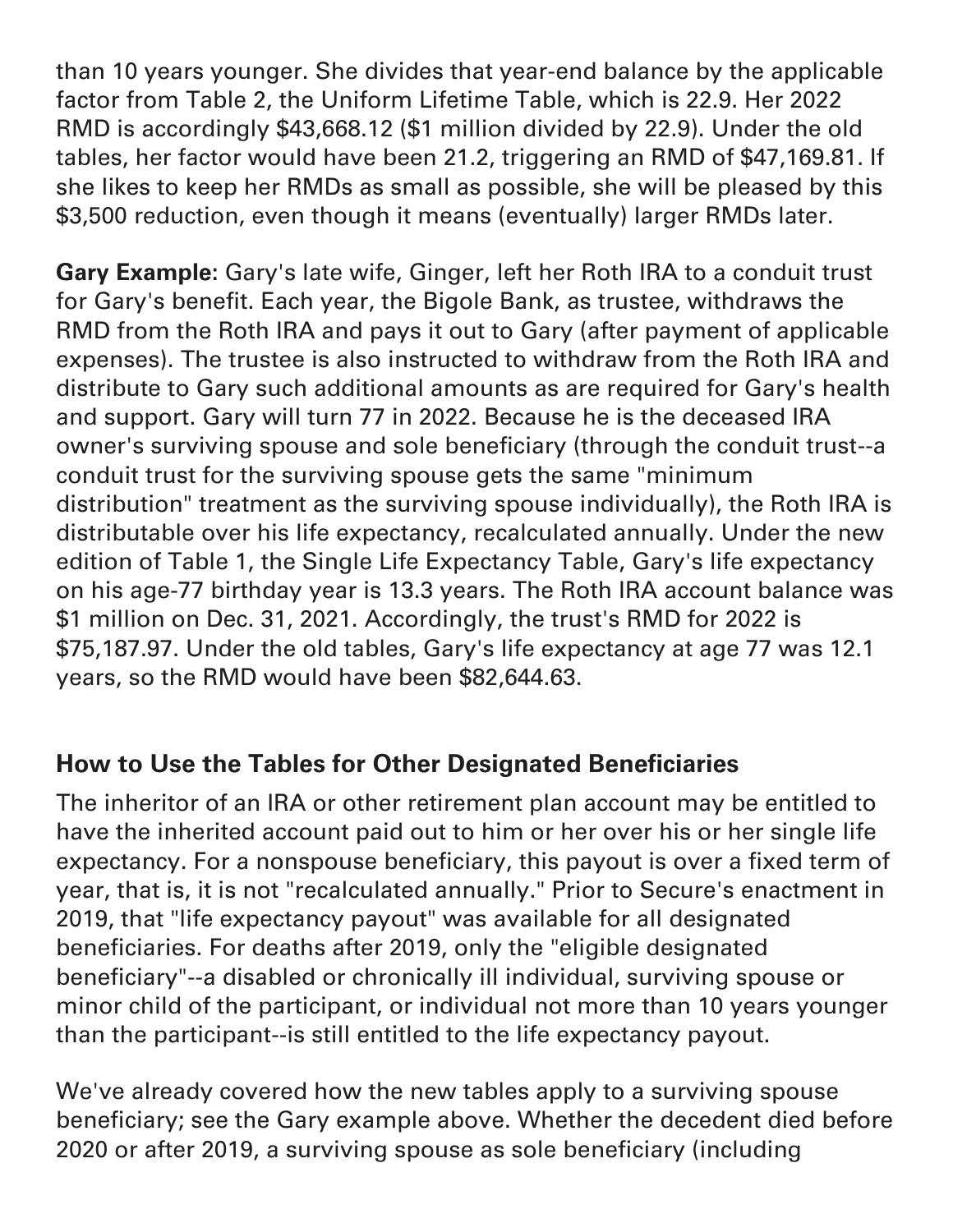than 10 years younger. She divides that year-end balance by the applicable factor from Table 2, the Uniform Lifetime Table, which is 22.9. Her 2022 RMD is accordingly \$43,668.12 (\$1 million divided by 22.9). Under the old tables, her factor would have been 21.2, triggering an RMD of \$47,169.81. If she likes to keep her RMDs as small as possible, she will be pleased by this \$3,500 reduction, even though it means (eventually) larger RMDs later.

**Gary Example:** Gary's late wife, Ginger, left her Roth IRA to a conduit trust for Gary's benefit. Each year, the Bigole Bank, as trustee, withdraws the RMD from the Roth IRA and pays it out to Gary (after payment of applicable expenses). The trustee is also instructed to withdraw from the Roth IRA and distribute to Gary such additional amounts as are required for Gary's health and support. Gary will turn 77 in 2022. Because he is the deceased IRA owner's surviving spouse and sole beneficiary (through the conduit trust--a conduit trust for the surviving spouse gets the same "minimum distribution" treatment as the surviving spouse individually), the Roth IRA is distributable over his life expectancy, recalculated annually. Under the new edition of Table 1, the Single Life Expectancy Table, Gary's life expectancy on his age-77 birthday year is 13.3 years. The Roth IRA account balance was \$1 million on Dec. 31, 2021. Accordingly, the trust's RMD for 2022 is \$75,187.97. Under the old tables, Gary's life expectancy at age 77 was 12.1 years, so the RMD would have been \$82,644.63.

## **How to Use the Tables for Other Designated Beneficiaries**

The inheritor of an IRA or other retirement plan account may be entitled to have the inherited account paid out to him or her over his or her single life expectancy. For a nonspouse beneficiary, this payout is over a fixed term of year, that is, it is not "recalculated annually." Prior to Secure's enactment in 2019, that "life expectancy payout" was available for all designated beneficiaries. For deaths after 2019, only the "eligible designated beneficiary"--a disabled or chronically ill individual, surviving spouse or minor child of the participant, or individual not more than 10 years younger than the participant--is still entitled to the life expectancy payout.

We've already covered how the new tables apply to a surviving spouse beneficiary; see the Gary example above. Whether the decedent died before 2020 or after 2019, a surviving spouse as sole beneficiary (including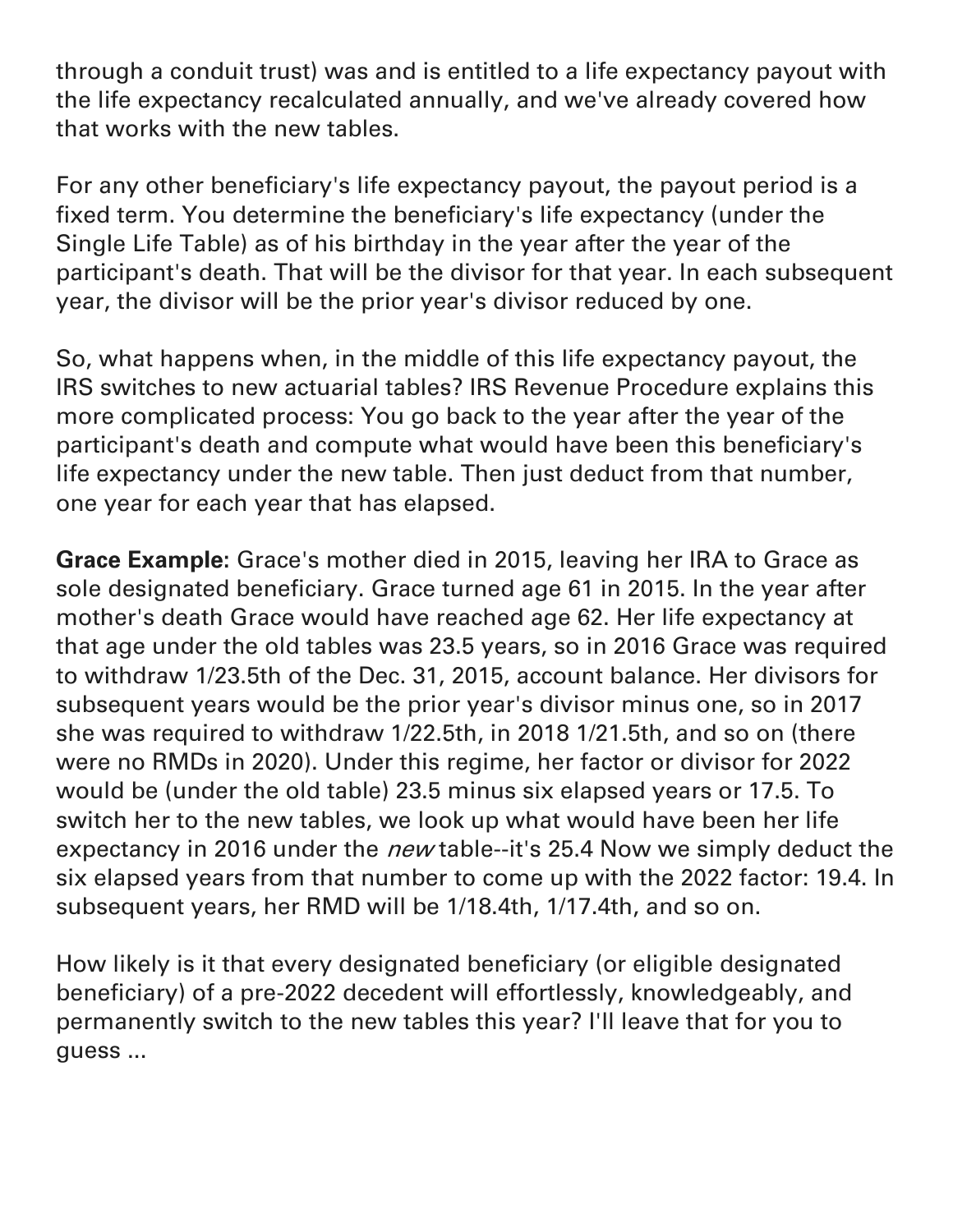through a conduit trust) was and is entitled to a life expectancy payout with the life expectancy recalculated annually, and we've already covered how that works with the new tables.

For any other beneficiary's life expectancy payout, the payout period is a fixed term. You determine the beneficiary's life expectancy (under the Single Life Table) as of his birthday in the year after the year of the participant's death. That will be the divisor for that year. In each subsequent year, the divisor will be the prior year's divisor reduced by one.

So, what happens when, in the middle of this life expectancy payout, the IRS switches to new actuarial tables? IRS Revenue Procedure explains this more complicated process: You go back to the year after the year of the participant's death and compute what would have been this beneficiary's life expectancy under the new table. Then just deduct from that number, one year for each year that has elapsed.

**Grace Example:** Grace's mother died in 2015, leaving her IRA to Grace as sole designated beneficiary. Grace turned age 61 in 2015. In the year after mother's death Grace would have reached age 62. Her life expectancy at that age under the old tables was 23.5 years, so in 2016 Grace was required to withdraw 1/23.5th of the Dec. 31, 2015, account balance. Her divisors for subsequent years would be the prior year's divisor minus one, so in 2017 she was required to withdraw 1/22.5th, in 2018 1/21.5th, and so on (there were no RMDs in 2020). Under this regime, her factor or divisor for 2022 would be (under the old table) 23.5 minus six elapsed years or 17.5. To switch her to the new tables, we look up what would have been her life expectancy in 2016 under the *new* table--it's 25.4 Now we simply deduct the six elapsed years from that number to come up with the 2022 factor: 19.4. In subsequent years, her RMD will be 1/18.4th, 1/17.4th, and so on.

How likely is it that every designated beneficiary (or eligible designated beneficiary) of a pre-2022 decedent will effortlessly, knowledgeably, and permanently switch to the new tables this year? I'll leave that for you to guess ...